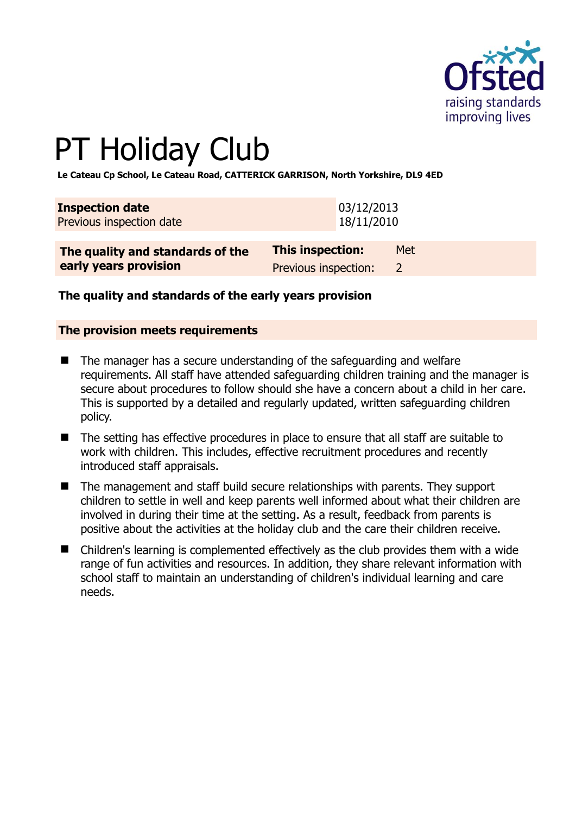

# PT Holiday Club

**Le Cateau Cp School, Le Cateau Road, CATTERICK GARRISON, North Yorkshire, DL9 4ED** 

| <b>Inspection date</b><br>Previous inspection date | 03/12/2013<br>18/11/2010 |               |
|----------------------------------------------------|--------------------------|---------------|
| The quality and standards of the                   | <b>This inspection:</b>  | Met           |
| early years provision                              | Previous inspection:     | $\mathcal{L}$ |

## **The quality and standards of the early years provision**

#### **The provision meets requirements**

- The manager has a secure understanding of the safeguarding and welfare requirements. All staff have attended safeguarding children training and the manager is secure about procedures to follow should she have a concern about a child in her care. This is supported by a detailed and regularly updated, written safeguarding children policy.
- The setting has effective procedures in place to ensure that all staff are suitable to work with children. This includes, effective recruitment procedures and recently introduced staff appraisals.
- The management and staff build secure relationships with parents. They support children to settle in well and keep parents well informed about what their children are involved in during their time at the setting. As a result, feedback from parents is positive about the activities at the holiday club and the care their children receive.
- Children's learning is complemented effectively as the club provides them with a wide range of fun activities and resources. In addition, they share relevant information with school staff to maintain an understanding of children's individual learning and care needs.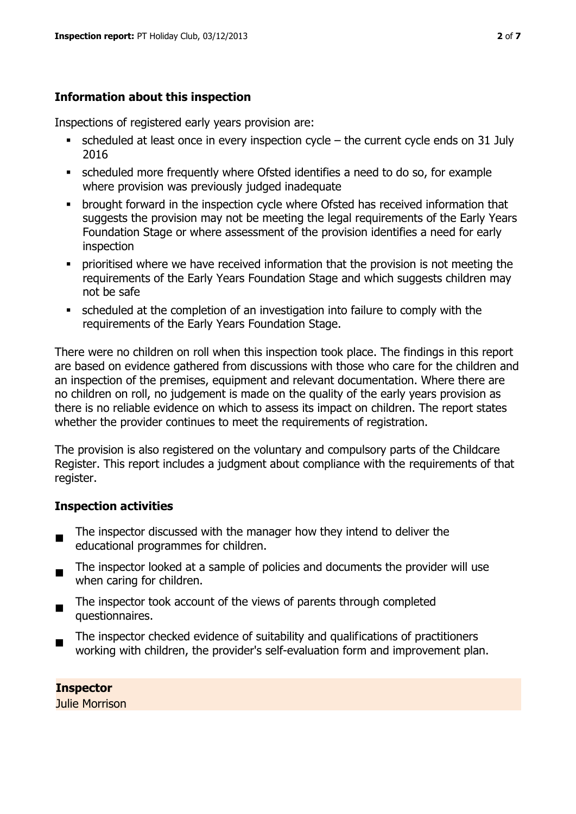# **Information about this inspection**

Inspections of registered early years provision are:

- scheduled at least once in every inspection cycle the current cycle ends on 31 July 2016
- scheduled more frequently where Ofsted identifies a need to do so, for example where provision was previously judged inadequate
- **•** brought forward in the inspection cycle where Ofsted has received information that suggests the provision may not be meeting the legal requirements of the Early Years Foundation Stage or where assessment of the provision identifies a need for early inspection
- **•** prioritised where we have received information that the provision is not meeting the requirements of the Early Years Foundation Stage and which suggests children may not be safe
- scheduled at the completion of an investigation into failure to comply with the requirements of the Early Years Foundation Stage.

There were no children on roll when this inspection took place. The findings in this report are based on evidence gathered from discussions with those who care for the children and an inspection of the premises, equipment and relevant documentation. Where there are no children on roll, no judgement is made on the quality of the early years provision as there is no reliable evidence on which to assess its impact on children. The report states whether the provider continues to meet the requirements of registration.

The provision is also registered on the voluntary and compulsory parts of the Childcare Register. This report includes a judgment about compliance with the requirements of that register.

# **Inspection activities**

- $\blacksquare$ The inspector discussed with the manager how they intend to deliver the educational programmes for children.
- $\blacksquare$ The inspector looked at a sample of policies and documents the provider will use when caring for children.
- $\blacksquare$ The inspector took account of the views of parents through completed questionnaires.
- The inspector checked evidence of suitability and qualifications of practitioners working with children, the provider's self-evaluation form and improvement plan.

# **Inspector**

Julie Morrison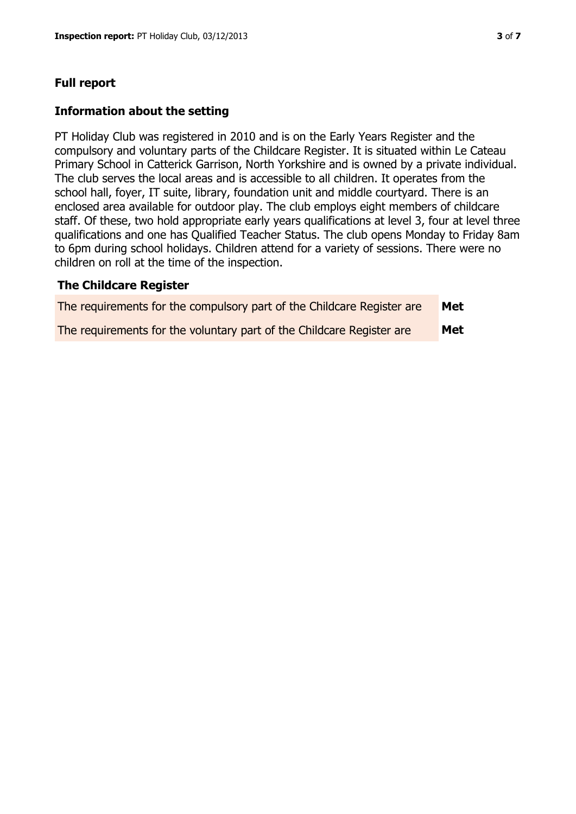## **Full report**

#### **Information about the setting**

PT Holiday Club was registered in 2010 and is on the Early Years Register and the compulsory and voluntary parts of the Childcare Register. It is situated within Le Cateau Primary School in Catterick Garrison, North Yorkshire and is owned by a private individual. The club serves the local areas and is accessible to all children. It operates from the school hall, foyer, IT suite, library, foundation unit and middle courtyard. There is an enclosed area available for outdoor play. The club employs eight members of childcare staff. Of these, two hold appropriate early years qualifications at level 3, four at level three qualifications and one has Qualified Teacher Status. The club opens Monday to Friday 8am to 6pm during school holidays. Children attend for a variety of sessions. There were no children on roll at the time of the inspection.

#### **The Childcare Register**

| The requirements for the compulsory part of the Childcare Register are | Met |
|------------------------------------------------------------------------|-----|
| The requirements for the voluntary part of the Childcare Register are  | Met |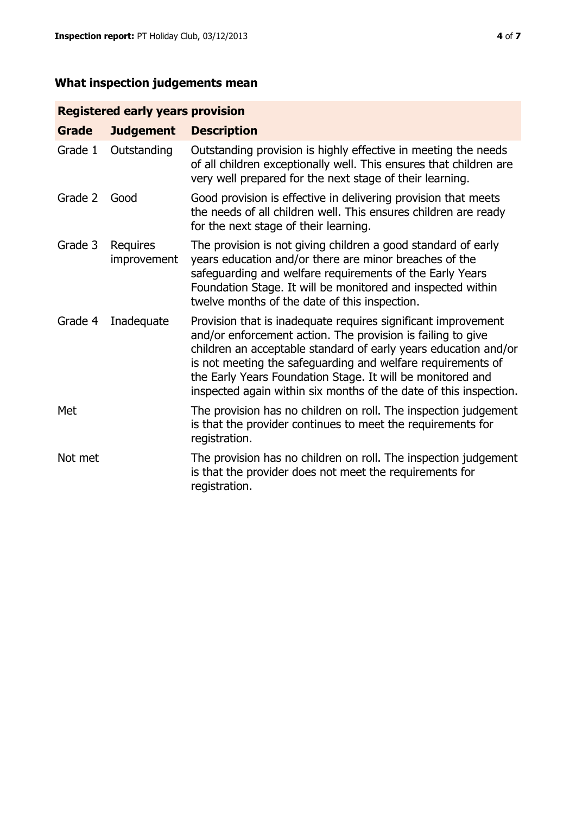# **What inspection judgements mean**

# **Registered early years provision**

| <b>Grade</b> | <b>Judgement</b>        | <b>Description</b>                                                                                                                                                                                                                                                                                                                                                                                |
|--------------|-------------------------|---------------------------------------------------------------------------------------------------------------------------------------------------------------------------------------------------------------------------------------------------------------------------------------------------------------------------------------------------------------------------------------------------|
| Grade 1      | Outstanding             | Outstanding provision is highly effective in meeting the needs<br>of all children exceptionally well. This ensures that children are<br>very well prepared for the next stage of their learning.                                                                                                                                                                                                  |
| Grade 2      | Good                    | Good provision is effective in delivering provision that meets<br>the needs of all children well. This ensures children are ready<br>for the next stage of their learning.                                                                                                                                                                                                                        |
| Grade 3      | Requires<br>improvement | The provision is not giving children a good standard of early<br>years education and/or there are minor breaches of the<br>safeguarding and welfare requirements of the Early Years<br>Foundation Stage. It will be monitored and inspected within<br>twelve months of the date of this inspection.                                                                                               |
| Grade 4      | Inadequate              | Provision that is inadequate requires significant improvement<br>and/or enforcement action. The provision is failing to give<br>children an acceptable standard of early years education and/or<br>is not meeting the safeguarding and welfare requirements of<br>the Early Years Foundation Stage. It will be monitored and<br>inspected again within six months of the date of this inspection. |
| Met          |                         | The provision has no children on roll. The inspection judgement<br>is that the provider continues to meet the requirements for<br>registration.                                                                                                                                                                                                                                                   |
| Not met      |                         | The provision has no children on roll. The inspection judgement<br>is that the provider does not meet the requirements for<br>registration.                                                                                                                                                                                                                                                       |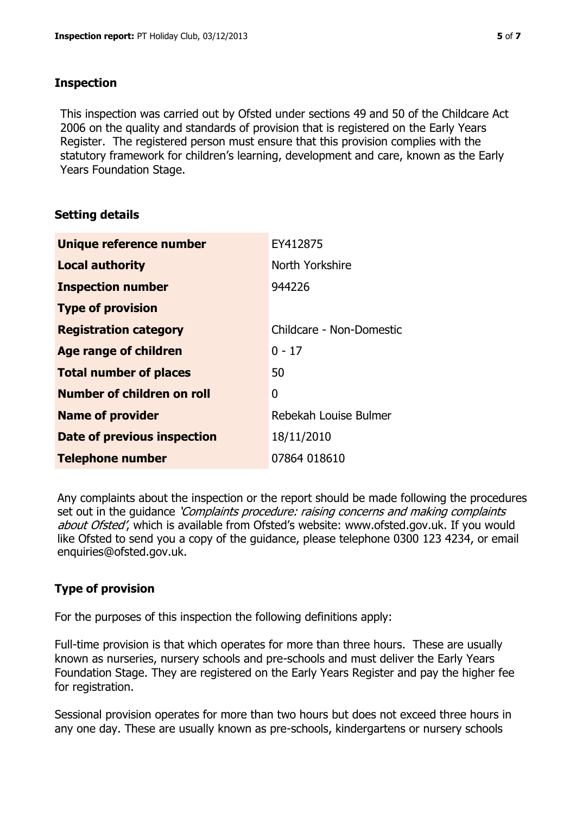# **Inspection**

This inspection was carried out by Ofsted under sections 49 and 50 of the Childcare Act 2006 on the quality and standards of provision that is registered on the Early Years Register. The registered person must ensure that this provision complies with the statutory framework for children's learning, development and care, known as the Early Years Foundation Stage.

# **Setting details**

| Unique reference number       | EY412875                 |
|-------------------------------|--------------------------|
| <b>Local authority</b>        | North Yorkshire          |
| <b>Inspection number</b>      | 944226                   |
| <b>Type of provision</b>      |                          |
| <b>Registration category</b>  | Childcare - Non-Domestic |
| Age range of children         | $0 - 17$                 |
| <b>Total number of places</b> | 50                       |
| Number of children on roll    | 0                        |
| <b>Name of provider</b>       | Rebekah Louise Bulmer    |
| Date of previous inspection   | 18/11/2010               |
| <b>Telephone number</b>       | 07864 018610             |

Any complaints about the inspection or the report should be made following the procedures set out in the guidance *'Complaints procedure: raising concerns and making complaints* about Ofsted', which is available from Ofsted's website: www.ofsted.gov.uk. If you would like Ofsted to send you a copy of the guidance, please telephone 0300 123 4234, or email enquiries@ofsted.gov.uk.

# **Type of provision**

For the purposes of this inspection the following definitions apply:

Full-time provision is that which operates for more than three hours. These are usually known as nurseries, nursery schools and pre-schools and must deliver the Early Years Foundation Stage. They are registered on the Early Years Register and pay the higher fee for registration.

Sessional provision operates for more than two hours but does not exceed three hours in any one day. These are usually known as pre-schools, kindergartens or nursery schools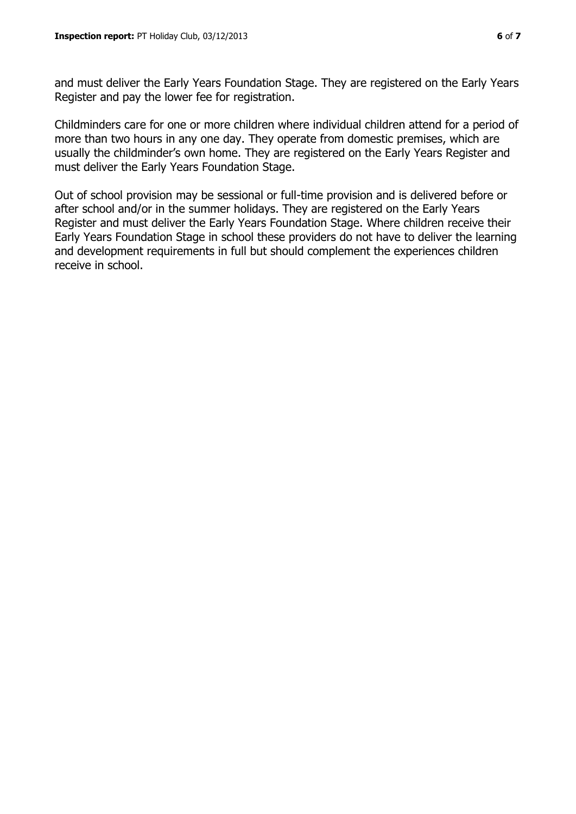and must deliver the Early Years Foundation Stage. They are registered on the Early Years Register and pay the lower fee for registration.

Childminders care for one or more children where individual children attend for a period of more than two hours in any one day. They operate from domestic premises, which are usually the childminder's own home. They are registered on the Early Years Register and must deliver the Early Years Foundation Stage.

Out of school provision may be sessional or full-time provision and is delivered before or after school and/or in the summer holidays. They are registered on the Early Years Register and must deliver the Early Years Foundation Stage. Where children receive their Early Years Foundation Stage in school these providers do not have to deliver the learning and development requirements in full but should complement the experiences children receive in school.